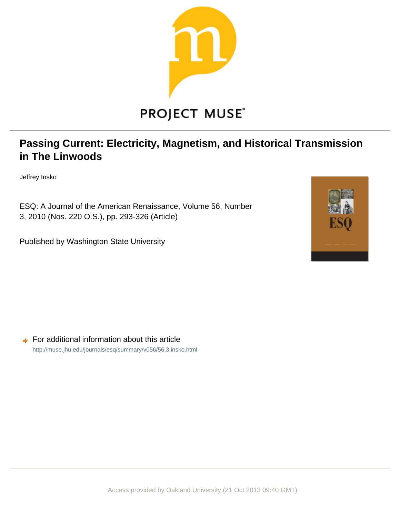

# **Passing Current: Electricity, Magnetism, and Historical Transmission in The Linwoods**

Jeffrey Insko

ESQ: A Journal of the American Renaissance, Volume 56, Number 3, 2010 (Nos. 220 O.S.), pp. 293-326 (Article)

Published by Washington State University



 $\rightarrow$  For additional information about this article <http://muse.jhu.edu/journals/esq/summary/v056/56.3.insko.html>

Access provided by Oakland University (21 Oct 2013 09:40 GMT)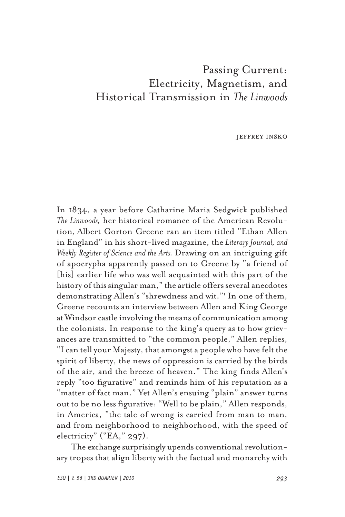# Passing Current: Electricity, Magnetism, and Historical Transmission in *The Linwoods*

jeffrey insko

In 1834, a year before Catharine Maria Sedgwick published *The Linwoods,* her historical romance of the American Revolution*,* Albert Gorton Greene ran an item titled "Ethan Allen in England" in his short-lived magazine, the *Literary Journal, and Weekly Register of Science and the Arts.* Drawing on an intriguing gift of apocrypha apparently passed on to Greene by "a friend of [his] earlier life who was well acquainted with this part of the history of this singular man," the article offers several anecdotes demonstrating Allen's "shrewdness and wit."1 In one of them, Greene recounts an interview between Allen and King George at Windsor castle involving the means of communication among the colonists. In response to the king's query as to how grievances are transmitted to "the common people," Allen replies, "I can tell your Majesty, that amongst a people who have felt the spirit of liberty, the news of oppression is carried by the birds of the air, and the breeze of heaven." The king finds Allen's reply "too figurative" and reminds him of his reputation as a "matter of fact man." Yet Allen's ensuing "plain" answer turns out to be no less figurative: "Well to be plain," Allen responds, in America, "the tale of wrong is carried from man to man, and from neighborhood to neighborhood, with the speed of electricity" ("EA,"  $297$ ).

The exchange surprisingly upends conventional revolutionary tropes that align liberty with the factual and monarchy with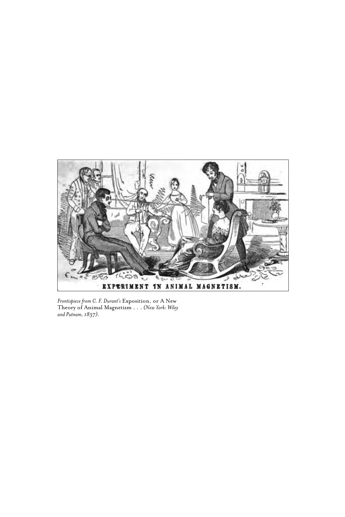

*Frontispiece from C. F. Durant's* Exposition, or A New Theory of Animal Magnetism . . . *(New York: Wiley and Putnam, 1837).*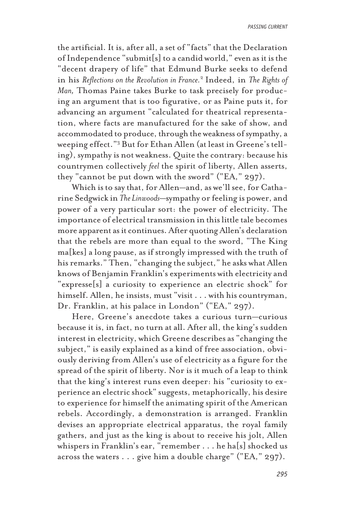the artificial. It is, after all, a set of "facts" that the Declaration of Independence "submit[s] to a candid world," even as it is the "decent drapery of life" that Edmund Burke seeks to defend in his *Reflections on the Revolution in France.*<sup>2</sup> Indeed, in *The Rights of Man,* Thomas Paine takes Burke to task precisely for producing an argument that is too figurative, or as Paine puts it, for advancing an argument "calculated for theatrical representation, where facts are manufactured for the sake of show, and accommodated to produce, through the weakness of sympathy, a weeping effect."3 But for Ethan Allen (at least in Greene's telling), sympathy is not weakness. Quite the contrary: because his countrymen collectively *feel* the spirit of liberty, Allen asserts, they "cannot be put down with the sword" ("EA," 297).

Which is to say that, for Allen—and, as we'll see, for Catharine Sedgwick in *The Linwoods*—sympathy or feeling is power, and power of a very particular sort: the power of electricity. The importance of electrical transmission in this little tale becomes more apparent as it continues. After quoting Allen's declaration that the rebels are more than equal to the sword, "The King ma[kes] a long pause, as if strongly impressed with the truth of his remarks." Then, "changing the subject," he asks what Allen knows of Benjamin Franklin's experiments with electricity and "expresse[s] a curiosity to experience an electric shock" for himself. Allen, he insists, must "visit . . . with his countryman, Dr. Franklin, at his palace in London" ("EA," 297).

Here, Greene's anecdote takes a curious turn—curious because it is, in fact, no turn at all. After all, the king's sudden interest in electricity, which Greene describes as "changing the subject," is easily explained as a kind of free association, obviously deriving from Allen's use of electricity as a figure for the spread of the spirit of liberty. Nor is it much of a leap to think that the king's interest runs even deeper: his "curiosity to experience an electric shock" suggests, metaphorically, his desire to experience for himself the animating spirit of the American rebels. Accordingly, a demonstration is arranged. Franklin devises an appropriate electrical apparatus, the royal family gathers, and just as the king is about to receive his jolt, Allen whispers in Franklin's ear, "remember . . . he ha[s] shocked us across the waters . . . give him a double charge" ("EA," 297).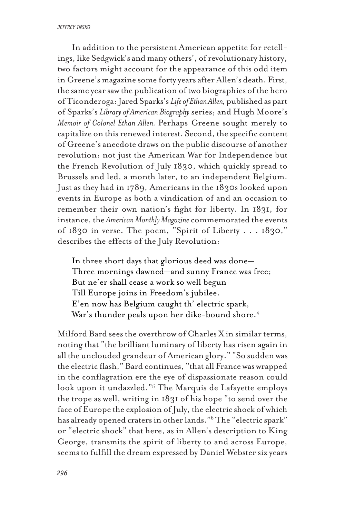*jeffrey insko*

In addition to the persistent American appetite for retellings, like Sedgwick's and many others', of revolutionary history, two factors might account for the appearance of this odd item in Greene's magazine some forty years after Allen's death. First, the same year saw the publication of two biographies of the hero of Ticonderoga: Jared Sparks's *Life of Ethan Allen,* published as part of Sparks's *Library of American Biography* series; and Hugh Moore's *Memoir of Colonel Ethan Allen.* Perhaps Greene sought merely to capitalize on this renewed interest. Second, the specific content of Greene's anecdote draws on the public discourse of another revolution: not just the American War for Independence but the French Revolution of July 1830, which quickly spread to Brussels and led, a month later, to an independent Belgium. Just as they had in 1789, Americans in the 1830s looked upon events in Europe as both a vindication of and an occasion to remember their own nation's fight for liberty. In 1831, for instance, the *American Monthly Magazine* commemorated the events of 1830 in verse. The poem, "Spirit of Liberty . . . 1830," describes the effects of the July Revolution:

In three short days that glorious deed was done— Three mornings dawned—and sunny France was free; But ne'er shall cease a work so well begun Till Europe joins in Freedom's jubilee. E'en now has Belgium caught th' electric spark, War's thunder peals upon her dike-bound shore.<sup>4</sup>

Milford Bard sees the overthrow of Charles Xin similar terms, noting that "the brilliant luminary of liberty has risen again in all the unclouded grandeur of American glory." "So sudden was the electric flash," Bard continues, "that all France was wrapped in the conflagration ere the eye of dispassionate reason could look upon it undazzled."5 The Marquis de Lafayette employs the trope as well, writing in 1831 of his hope "to send over the face of Europe the explosion of July, the electric shock of which has already opened craters in other lands."6 The "electric spark" or "electric shock" that here, as in Allen's description to King George, transmits the spirit of liberty to and across Europe, seems to fulfill the dream expressed by Daniel Webster six years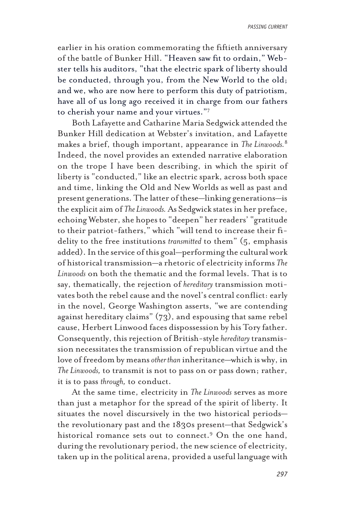*passing current*

earlier in his oration commemorating the fiftieth anniversary of the battle of Bunker Hill. "Heaven saw fit to ordain," Webster tells his auditors, "that the electric spark of liberty should be conducted, through you, from the New World to the old; and we, who are now here to perform this duty of patriotism, have all of us long ago received it in charge from our fathers to cherish your name and your virtues."7

Both Lafayette and Catharine Maria Sedgwick attended the Bunker Hill dedication at Webster's invitation, and Lafayette makes a brief, though important, appearance in *The Linwoods.*<sup>8</sup> Indeed, the novel provides an extended narrative elaboration on the trope I have been describing, in which the spirit of liberty is "conducted," like an electric spark, across both space and time, linking the Old and New Worlds as well as past and present generations. The latter of these—linking generations—is the explicit aim of *The Linwoods.* As Sedgwick states in her preface, echoing Webster, she hopes to "deepen" her readers' "gratitude to their patriot-fathers," which "will tend to increase their fidelity to the free institutions *transmitted* to them" (5, emphasis added). In the service of this goal—performing the cultural work of historical transmission—a rhetoric of electricity informs *The Linwoods* on both the thematic and the formal levels. That is to say, thematically, the rejection of *hereditary* transmission motivates both the rebel cause and the novel's central conflict: early in the novel, George Washington asserts, "we are contending against hereditary claims" (73), and espousing that same rebel cause, Herbert Linwood faces dispossession by his Tory father. Consequently, this rejection of British-style *hereditary* transmission necessitates the transmission of republican virtue and the love of freedom by means *other than* inheritance—which is why, in *The Linwoods,* to transmit is not to pass on or pass down; rather, it is to pass *through,* to conduct.

At the same time, electricity in *The Linwoods* serves as more than just a metaphor for the spread of the spirit of liberty. It situates the novel discursively in the two historical periods the revolutionary past and the 1830s present—that Sedgwick's historical romance sets out to connect.9 On the one hand, during the revolutionary period, the new science of electricity, taken up in the political arena, provided a useful language with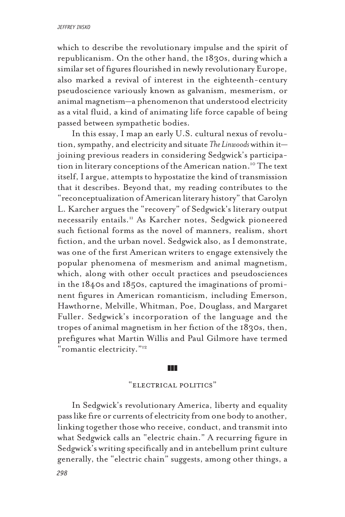which to describe the revolutionary impulse and the spirit of republicanism. On the other hand, the 1830s, during which a similar set of figures flourished in newly revolutionary Europe, also marked a revival of interest in the eighteenth-century pseudoscience variously known as galvanism, mesmerism, or animal magnetism—a phenomenon that understood electricity as a vital fluid, a kind of animating life force capable of being passed between sympathetic bodies.

In this essay, I map an early U.S. cultural nexus of revolution, sympathy, and electricity and situate *The Linwoods* within it joining previous readers in considering Sedgwick's participation in literary conceptions of the American nation.<sup>10</sup> The text itself, I argue, attempts to hypostatize the kind of transmission that it describes. Beyond that, my reading contributes to the "reconceptualization of American literary history" that Carolyn L. Karcher argues the "recovery" of Sedgwick's literary output necessarily entails.11 As Karcher notes, Sedgwick pioneered such fictional forms as the novel of manners, realism, short fiction, and the urban novel. Sedgwick also, as I demonstrate, was one of the first American writers to engage extensively the popular phenomena of mesmerism and animal magnetism, which, along with other occult practices and pseudosciences in the 1840s and 1850s, captured the imaginations of prominent figures in American romanticism, including Emerson, Hawthorne, Melville, Whitman, Poe, Douglass, and Margaret Fuller. Sedgwick's incorporation of the language and the tropes of animal magnetism in her fiction of the 1830s, then, prefigures what Martin Willis and Paul Gilmore have termed "romantic electricity."12

### zzz

# "electrical politics"

In Sedgwick's revolutionary America, liberty and equality pass like fire or currents of electricity from one body to another, linking together those who receive, conduct, and transmit into what Sedgwick calls an "electric chain." A recurring figure in Sedgwick's writing specifically and in antebellum print culture generally, the "electric chain" suggests, among other things, a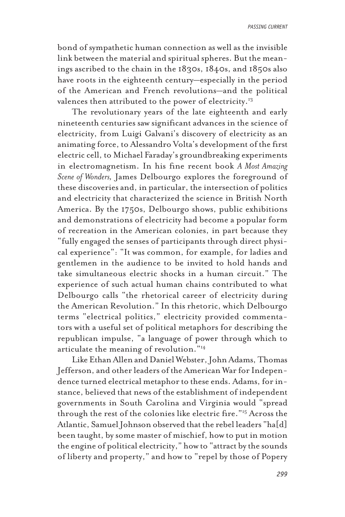bond of sympathetic human connection as well as the invisible link between the material and spiritual spheres. But the meanings ascribed to the chain in the 1830s, 1840s, and 1850s also have roots in the eighteenth century—especially in the period of the American and French revolutions—and the political valences then attributed to the power of electricity.<sup>13</sup>

The revolutionary years of the late eighteenth and early nineteenth centuries saw significant advances in the science of electricity, from Luigi Galvani's discovery of electricity as an animating force, to Alessandro Volta's development of the first electric cell, to Michael Faraday's groundbreaking experiments in electromagnetism. In his fine recent book *A Most Amazing Scene of Wonders,* James Delbourgo explores the foreground of these discoveries and, in particular, the intersection of politics and electricity that characterized the science in British North America. By the 1750s, Delbourgo shows, public exhibitions and demonstrations of electricity had become a popular form of recreation in the American colonies, in part because they "fully engaged the senses of participants through direct physical experience": "It was common, for example, for ladies and gentlemen in the audience to be invited to hold hands and take simultaneous electric shocks in a human circuit." The experience of such actual human chains contributed to what Delbourgo calls "the rhetorical career of electricity during the American Revolution." In this rhetoric, which Delbourgo terms "electrical politics," electricity provided commentators with a useful set of political metaphors for describing the republican impulse, "a language of power through which to articulate the meaning of revolution."14

Like Ethan Allen and Daniel Webster, John Adams, Thomas Jefferson, and other leaders of the American War for Independence turned electrical metaphor to these ends. Adams, for instance, believed that news of the establishment of independent governments in South Carolina and Virginia would "spread through the rest of the colonies like electric fire."15 Across the Atlantic, Samuel Johnson observed that the rebel leaders "ha[d] been taught, by some master of mischief, how to put in motion the engine of political electricity," how to "attract by the sounds of liberty and property," and how to "repel by those of Popery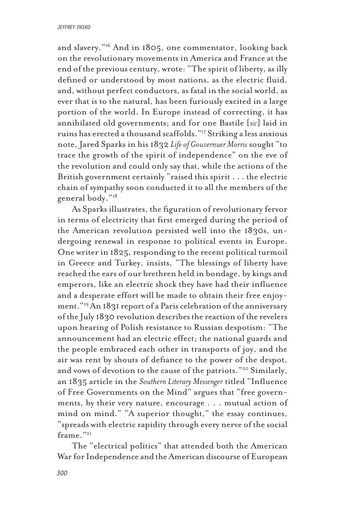and slavery."16 And in 1805, one commentator, looking back on the revolutionary movements in America and France at the end of the previous century, wrote: "The spirit of liberty, as illy defined or understood by most nations, as the electric fluid, and, without perfect conductors, as fatal in the social world, as ever that is to the natural, has been furiously excited in a large portion of the world. In Europe instead of correcting, it has annihilated old governments; and for one Bastile [*sic*] laid in ruins has erected a thousand scaffolds."17 Striking a less anxious note, Jared Sparks in his 1832 *Life of Gouvernuer Morris* sought "to trace the growth of the spirit of independence" on the eve of the revolution and could only say that, while the actions of the British government certainly "raised this spirit . . . the electric chain of sympathy soon conducted it to all the members of the general body."18

As Sparks illustrates, the figuration of revolutionary fervor in terms of electricity that first emerged during the period of the American revolution persisted well into the 1830s, undergoing renewal in response to political events in Europe. One writer in 1825, responding to the recent political turmoil in Greece and Turkey, insists, "The blessings of liberty have reached the ears of our brethren held in bondage, by kings and emperors, like an electric shock they have had their influence and a desperate effort will be made to obtain their free enjoyment."19 An 1831 report of a Paris celebration of the anniversary of the July 1830 revolution describes the reaction of the revelers upon hearing of Polish resistance to Russian despotism: "The announcement had an electric effect; the national guards and the people embraced each other in transports of joy, and the air was rent by shouts of defiance to the power of the despot, and vows of devotion to the cause of the patriots."<sup>20</sup> Similarly, an 1835 article in the *Southern Literary Messenger* titled "Influence of Free Governments on the Mind" argues that "free governments, by their very nature, encourage . . . mutual action of mind on mind." "A superior thought," the essay continues, "spreads with electric rapidity through every nerve of the social frame."<sup>21</sup>

The "electrical politics" that attended both the American War for Independence and the American discourse of European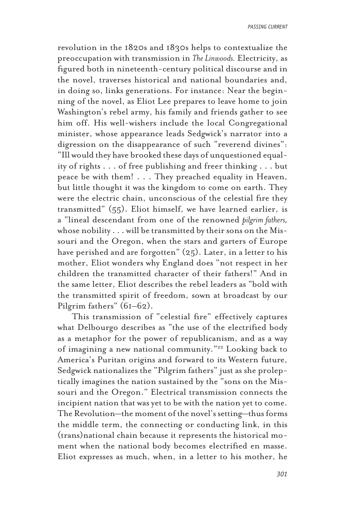revolution in the 1820s and 1830s helps to contextualize the preoccupation with transmission in *The Linwoods.* Electricity, as figured both in nineteenth-century political discourse and in the novel, traverses historical and national boundaries and, in doing so, links generations. For instance: Near the beginning of the novel, as Eliot Lee prepares to leave home to join Washington's rebel army, his family and friends gather to see him off. His well-wishers include the local Congregational minister, whose appearance leads Sedgwick's narrator into a digression on the disappearance of such "reverend divines": "Ill would they have brooked these days of unquestioned equality of rights . . . of free publishing and freer thinking . . . but peace be with them! . . . They preached equality in Heaven, but little thought it was the kingdom to come on earth. They were the electric chain, unconscious of the celestial fire they transmitted" (55). Eliot himself, we have learned earlier, is a "lineal descendant from one of the renowned *pilgrim fathers,* whose nobility . . . will be transmitted by their sons on the Missouri and the Oregon, when the stars and garters of Europe have perished and are forgotten" (25). Later, in a letter to his mother, Eliot wonders why England does "not respect in her children the transmitted character of their fathers!" And in the same letter, Eliot describes the rebel leaders as "bold with the transmitted spirit of freedom, sown at broadcast by our Pilgrim fathers" (61–62).

This transmission of "celestial fire" effectively captures what Delbourgo describes as "the use of the electrified body as a metaphor for the power of republicanism, and as a way of imagining a new national community."<sup>22</sup> Looking back to America's Puritan origins and forward to its Western future, Sedgwick nationalizes the "Pilgrim fathers" just as she proleptically imagines the nation sustained by the "sons on the Missouri and the Oregon." Electrical transmission connects the incipient nation that was yet to be with the nation yet to come. The Revolution—the moment of the novel's setting—thus forms the middle term, the connecting or conducting link, in this (trans)national chain because it represents the historical moment when the national body becomes electrified en masse. Eliot expresses as much, when, in a letter to his mother, he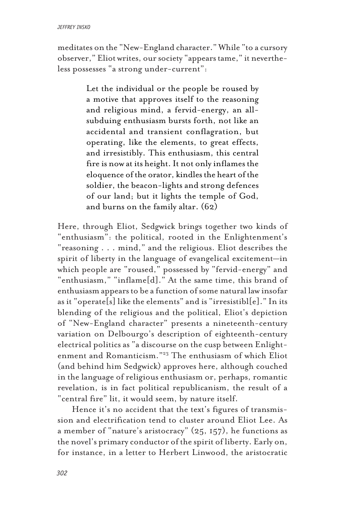meditates on the "New-England character." While "to a cursory observer," Eliot writes, our society "appears tame," it nevertheless possesses "a strong under-current":

> Let the individual or the people be roused by a motive that approves itself to the reasoning and religious mind, a fervid-energy, an allsubduing enthusiasm bursts forth, not like an accidental and transient conflagration, but operating, like the elements, to great effects, and irresistibly. This enthusiasm, this central fire is now at its height. It not only inflames the eloquence of the orator, kindles the heart of the soldier, the beacon-lights and strong defences of our land; but it lights the temple of God, and burns on the family altar. (62)

Here, through Eliot, Sedgwick brings together two kinds of "enthusiasm": the political, rooted in the Enlightenment's "reasoning . . . mind," and the religious. Eliot describes the spirit of liberty in the language of evangelical excitement—in which people are "roused," possessed by "fervid-energy" and "enthusiasm," "inflame[d]." At the same time, this brand of enthusiasm appears to be a function of some natural law insofar as it "operate[s] like the elements" and is "irresistibl[e]." In its blending of the religious and the political, Eliot's depiction of "New-England character" presents a nineteenth-century variation on Delbourgo's description of eighteenth-century electrical politics as "a discourse on the cusp between Enlightenment and Romanticism."23 The enthusiasm of which Eliot (and behind him Sedgwick) approves here, although couched in the language of religious enthusiasm or, perhaps, romantic revelation, is in fact political republicanism, the result of a "central fire" lit, it would seem, by nature itself.

Hence it's no accident that the text's figures of transmission and electrification tend to cluster around Eliot Lee. As a member of "nature's aristocracy"  $(25, 157)$ , he functions as the novel's primary conductor of the spirit of liberty. Early on, for instance, in a letter to Herbert Linwood, the aristocratic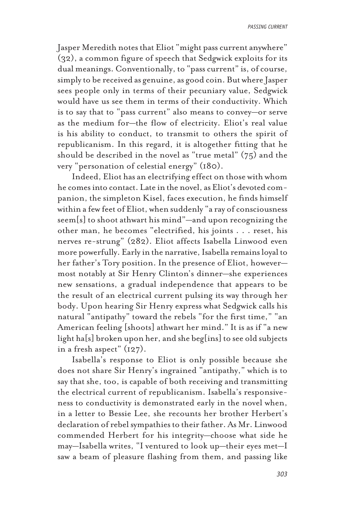Jasper Meredith notes that Eliot "might pass current anywhere" (32), a common figure of speech that Sedgwick exploits for its dual meanings. Conventionally, to "pass current" is, of course, simply to be received as genuine, as good coin. But where Jasper sees people only in terms of their pecuniary value, Sedgwick would have us see them in terms of their conductivity. Which is to say that to "pass current" also means to convey—or serve as the medium for—the flow of electricity. Eliot's real value is his ability to conduct, to transmit to others the spirit of republicanism. In this regard, it is altogether fitting that he should be described in the novel as "true metal" (75) and the very "personation of celestial energy" (180).

Indeed, Eliot has an electrifying effect on those with whom he comes into contact. Late in the novel, as Eliot's devoted companion, the simpleton Kisel, faces execution, he finds himself within a few feet of Eliot, when suddenly "a ray of consciousness seem[s] to shoot athwart his mind"—and upon recognizing the other man, he becomes "electrified, his joints . . . reset, his nerves re-strung" (282). Eliot affects Isabella Linwood even more powerfully. Early in the narrative, Isabella remains loyal to her father's Tory position. In the presence of Eliot, however most notably at Sir Henry Clinton's dinner—she experiences new sensations, a gradual independence that appears to be the result of an electrical current pulsing its way through her body. Upon hearing Sir Henry express what Sedgwick calls his natural "antipathy" toward the rebels "for the first time," "an American feeling [shoots] athwart her mind." It is as if "a new light ha[s] broken upon her, and she beg[ins] to see old subjects in a fresh aspect" (127).

Isabella's response to Eliot is only possible because she does not share Sir Henry's ingrained "antipathy," which is to say that she, too, is capable of both receiving and transmitting the electrical current of republicanism. Isabella's responsiveness to conductivity is demonstrated early in the novel when, in a letter to Bessie Lee, she recounts her brother Herbert's declaration of rebel sympathies to their father. As Mr. Linwood commended Herbert for his integrity—choose what side he may—Isabella writes, "I ventured to look up—their eyes met—I saw a beam of pleasure flashing from them, and passing like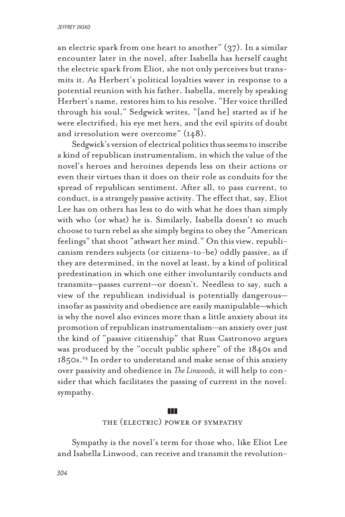an electric spark from one heart to another" (37). In a similar encounter later in the novel, after Isabella has herself caught the electric spark from Eliot, she not only perceives but transmits it. As Herbert's political loyalties waver in response to a potential reunion with his father, Isabella, merely by speaking Herbert's name, restores him to his resolve. "Her voice thrilled through his soul," Sedgwick writes, "[and he] started as if he were electrified; his eye met hers, and the evil spirits of doubt and irresolution were overcome" (148).

Sedgwick's version of electrical politics thus seems to inscribe a kind of republican instrumentalism, in which the value of the novel's heroes and heroines depends less on their actions or even their virtues than it does on their role as conduits for the spread of republican sentiment. After all, to pass current, to conduct, is a strangely passive activity. The effect that, say, Eliot Lee has on others has less to do with what he does than simply with who (or what) he is. Similarly, Isabella doesn't so much choose to turn rebel as she simply begins to obey the "American feelings" that shoot "athwart her mind." On this view, republicanism renders subjects (or citizens-to-be) oddly passive, as if they are determined, in the novel at least, by a kind of political predestination in which one either involuntarily conducts and transmits—passes current—or doesn't. Needless to say, such a view of the republican individual is potentially dangerous insofar as passivity and obedience are easily manipulable—which is why the novel also evinces more than a little anxiety about its promotion of republican instrumentalism—an anxiety over just the kind of "passive citizenship" that Russ Castronovo argues was produced by the "occult public sphere" of the 1840s and  $1850s<sup>24</sup>$  In order to understand and make sense of this anxiety over passivity and obedience in *The Linwoods,* it will help to consider that which facilitates the passing of current in the novel: sympathy.

# zzz

# the (electric) power of sympathy

Sympathy is the novel's term for those who, like Eliot Lee and Isabella Linwood, can receive and transmit the revolution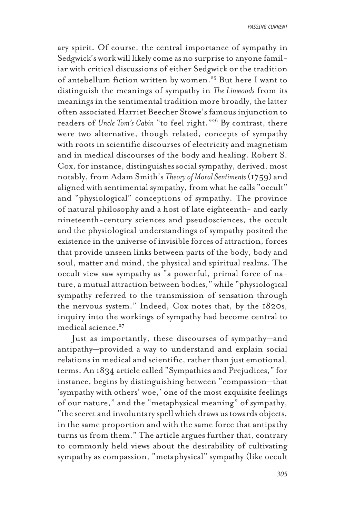ary spirit. Of course, the central importance of sympathy in Sedgwick's work will likely come as no surprise to anyone familiar with critical discussions of either Sedgwick or the tradition of antebellum fiction written by women.25 But here I want to distinguish the meanings of sympathy in *The Linwoods* from its meanings in the sentimental tradition more broadly, the latter often associated Harriet Beecher Stowe's famous injunction to readers of *Uncle Tom's Cabin* "to feel right."26 By contrast, there were two alternative, though related, concepts of sympathy with roots in scientific discourses of electricity and magnetism and in medical discourses of the body and healing. Robert S. Cox, for instance, distinguishes social sympathy, derived, most notably, from Adam Smith's *Theory of Moral Sentiments* (1759) and aligned with sentimental sympathy, from what he calls "occult" and "physiological" conceptions of sympathy. The province of natural philosophy and a host of late eighteenth- and early nineteenth-century sciences and pseudosciences, the occult and the physiological understandings of sympathy posited the existence in the universe of invisible forces of attraction, forces that provide unseen links between parts of the body, body and soul, matter and mind, the physical and spiritual realms. The occult view saw sympathy as "a powerful, primal force of nature, a mutual attraction between bodies," while "physiological sympathy referred to the transmission of sensation through the nervous system." Indeed, Cox notes that, by the 1820s, inquiry into the workings of sympathy had become central to medical science.<sup>27</sup>

Just as importantly, these discourses of sympathy—and antipathy—provided a way to understand and explain social relations in medical and scientific, rather than just emotional, terms. An 1834 article called "Sympathies and Prejudices," for instance, begins by distinguishing between "compassion—that 'sympathy with others' woe,' one of the most exquisite feelings of our nature," and the "metaphysical meaning" of sympathy, "the secret and involuntary spell which draws us towards objects, in the same proportion and with the same force that antipathy turns us from them." The article argues further that, contrary to commonly held views about the desirability of cultivating sympathy as compassion, "metaphysical" sympathy (like occult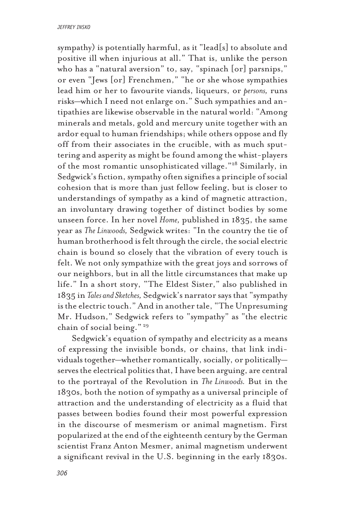sympathy) is potentially harmful, as it "lead[s] to absolute and positive ill when injurious at all." That is, unlike the person who has a "natural aversion" to, say, "spinach [or] parsnips," or even "Jews [or] Frenchmen," "he or she whose sympathies lead him or her to favourite viands, liqueurs, or *persons,* runs risks—which I need not enlarge on." Such sympathies and antipathies are likewise observable in the natural world: "Among minerals and metals, gold and mercury unite together with an ardor equal to human friendships; while others oppose and fly off from their associates in the crucible, with as much sputtering and asperity as might be found among the whist-players of the most romantic unsophisticated village."28 Similarly, in Sedgwick's fiction, sympathy often signifies a principle of social cohesion that is more than just fellow feeling, but is closer to understandings of sympathy as a kind of magnetic attraction, an involuntary drawing together of distinct bodies by some unseen force. In her novel *Home,* published in 1835, the same year as *The Linwoods,* Sedgwick writes: "In the country the tie of human brotherhood is felt through the circle, the social electric chain is bound so closely that the vibration of every touch is felt. We not only sympathize with the great joys and sorrows of our neighbors, but in all the little circumstances that make up life." In a short story, "The Eldest Sister," also published in 1835 in *Tales and Sketches,* Sedgwick's narrator says that "sympathy is the electric touch." And in another tale, "The Unpresuming Mr. Hudson," Sedgwick refers to "sympathy" as "the electric chain of social being." 29

Sedgwick's equation of sympathy and electricity as a means of expressing the invisible bonds, or chains, that link individuals together—whether romantically, socially, or politically serves the electrical politics that, I have been arguing, are central to the portrayal of the Revolution in *The Linwoods.* But in the 1830s, both the notion of sympathy as a universal principle of attraction and the understanding of electricity as a fluid that passes between bodies found their most powerful expression in the discourse of mesmerism or animal magnetism. First popularized at the end of the eighteenth century by the German scientist Franz Anton Mesmer, animal magnetism underwent a significant revival in the U.S. beginning in the early 1830s.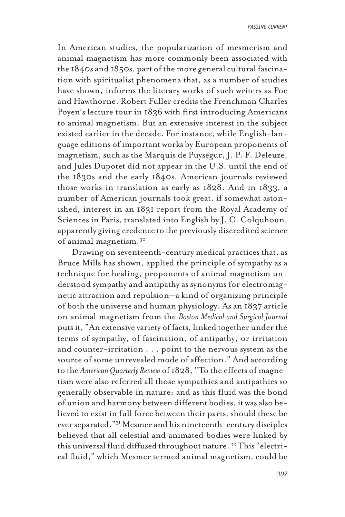In American studies, the popularization of mesmerism and animal magnetism has more commonly been associated with the 1840s and 1850s, part of the more general cultural fascination with spiritualist phenomena that, as a number of studies have shown, informs the literary works of such writers as Poe and Hawthorne. Robert Fuller credits the Frenchman Charles Poyen's lecture tour in 1836 with first introducing Americans to animal magnetism. But an extensive interest in the subject existed earlier in the decade. For instance, while English-language editions of important works by European proponents of magnetism, such as the Marquis de Puységur, J. P. F. Deleuze, and Jules Dupotet did not appear in the U.S. until the end of the 1830s and the early 1840s, American journals reviewed those works in translation as early as 1828. And in 1833, a number of American journals took great, if somewhat astonished, interest in an 1831 report from the Royal Academy of Sciences in Paris, translated into English by J. C. Colquhoun, apparently giving credence to the previously discredited science of animal magnetism.30

Drawing on seventeenth-century medical practices that, as Bruce Mills has shown, applied the principle of sympathy as a technique for healing, proponents of animal magnetism understood sympathy and antipathy as synonyms for electromagnetic attraction and repulsion—a kind of organizing principle of both the universe and human physiology. As an 1837 article on animal magnetism from the *Boston Medical and Surgical Journal* puts it, "An extensive variety of facts, linked together under the terms of sympathy, of fascination, of antipathy, or irritation and counter-irritation . . . point to the nervous system as the source of some unrevealed mode of affection." And according to the *American Quarterly Review* of 1828, "To the effects of magnetism were also referred all those sympathies and antipathies so generally observable in nature; and as this fluid was the bond of union and harmony between different bodies, it was also believed to exist in full force between their parts, should these be ever separated."31 Mesmer and his nineteenth-century disciples believed that all celestial and animated bodies were linked by this universal fluid diffused throughout nature. 32 This "electrical fluid," which Mesmer termed animal magnetism, could be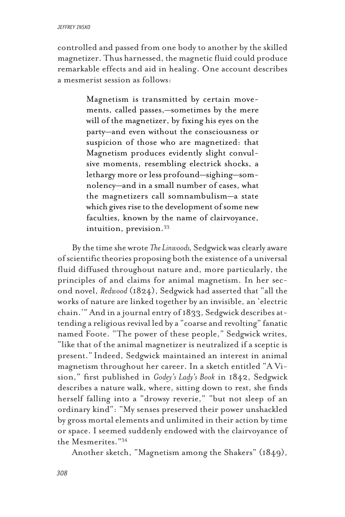controlled and passed from one body to another by the skilled magnetizer. Thus harnessed, the magnetic fluid could produce remarkable effects and aid in healing. One account describes a mesmerist session as follows:

> Magnetism is transmitted by certain movements, called passes,—sometimes by the mere will of the magnetizer, by fixing his eyes on the party—and even without the consciousness or suspicion of those who are magnetized: that Magnetism produces evidently slight convulsive moments, resembling electrick shocks, a lethargy more or less profound—sighing—somnolency—and in a small number of cases, what the magnetizers call somnambulism—a state which gives rise to the development of some new faculties, known by the name of clairvoyance, intuition, prevision.33

By the time she wrote *The Linwoods,* Sedgwick was clearly aware of scientific theories proposing both the existence of a universal fluid diffused throughout nature and, more particularly, the principles of and claims for animal magnetism. In her second novel, *Redwood* (1824), Sedgwick had asserted that "all the works of nature are linked together by an invisible, an 'electric chain.'" And in a journal entry of 1833, Sedgwick describes attending a religious revival led by a "coarse and revolting" fanatic named Foote. "The power of these people," Sedgwick writes, "like that of the animal magnetizer is neutralized if a sceptic is present." Indeed, Sedgwick maintained an interest in animal magnetism throughout her career. In a sketch entitled "A Vision," first published in *Godey's Lady's Book* in 1842, Sedgwick describes a nature walk, where, sitting down to rest, she finds herself falling into a "drowsy reverie," "but not sleep of an ordinary kind": "My senses preserved their power unshackled by gross mortal elements and unlimited in their action by time or space. I seemed suddenly endowed with the clairvoyance of the Mesmerites."34

Another sketch, "Magnetism among the Shakers" (1849),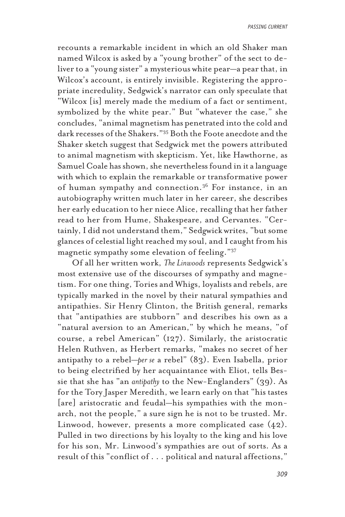recounts a remarkable incident in which an old Shaker man named Wilcox is asked by a "young brother" of the sect to deliver to a "young sister" a mysterious white pear—a pear that, in Wilcox's account, is entirely invisible. Registering the appropriate incredulity, Sedgwick's narrator can only speculate that "Wilcox [is] merely made the medium of a fact or sentiment, symbolized by the white pear." But "whatever the case," she concludes, "animal magnetism has penetrated into the cold and dark recesses of the Shakers."35 Both the Foote anecdote and the Shaker sketch suggest that Sedgwick met the powers attributed to animal magnetism with skepticism. Yet, like Hawthorne, as Samuel Coale has shown, she nevertheless found in it a language with which to explain the remarkable or transformative power of human sympathy and connection.<sup>36</sup> For instance, in an autobiography written much later in her career, she describes her early education to her niece Alice, recalling that her father read to her from Hume, Shakespeare, and Cervantes. "Certainly, I did not understand them," Sedgwick writes, "but some glances of celestial light reached my soul, and I caught from his magnetic sympathy some elevation of feeling."37

Of all her written work, *The Linwoods* represents Sedgwick's most extensive use of the discourses of sympathy and magnetism. For one thing, Tories and Whigs, loyalists and rebels, are typically marked in the novel by their natural sympathies and antipathies. Sir Henry Clinton, the British general, remarks that "antipathies are stubborn" and describes his own as a "natural aversion to an American," by which he means, "of course, a rebel American" (127). Similarly, the aristocratic Helen Ruthven, as Herbert remarks, "makes no secret of her antipathy to a rebel—*per se* a rebel" (83). Even Isabella, prior to being electrified by her acquaintance with Eliot, tells Bessie that she has "an *antipathy* to the New-Englanders" (39). As for the Tory Jasper Meredith, we learn early on that "his tastes [are] aristocratic and feudal—his sympathies with the monarch, not the people," a sure sign he is not to be trusted. Mr. Linwood, however, presents a more complicated case (42). Pulled in two directions by his loyalty to the king and his love for his son, Mr. Linwood's sympathies are out of sorts. As a result of this "conflict of . . . political and natural affections,"

*309*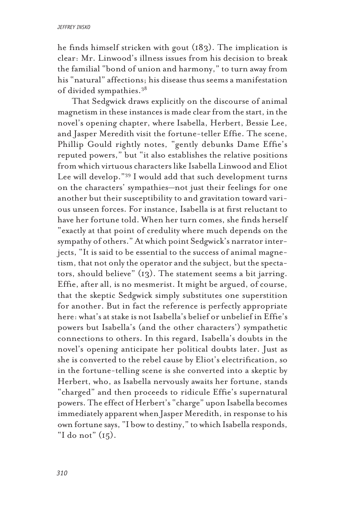he finds himself stricken with gout (183). The implication is clear: Mr. Linwood's illness issues from his decision to break the familial "bond of union and harmony," to turn away from his "natural" affections; his disease thus seems a manifestation of divided sympathies.38

That Sedgwick draws explicitly on the discourse of animal magnetism in these instances is made clear from the start, in the novel's opening chapter, where Isabella, Herbert, Bessie Lee, and Jasper Meredith visit the fortune-teller Effie. The scene, Phillip Gould rightly notes, "gently debunks Dame Effie's reputed powers," but "it also establishes the relative positions from which virtuous characters like Isabella Linwood and Eliot Lee will develop."39 I would add that such development turns on the characters' sympathies—not just their feelings for one another but their susceptibility to and gravitation toward various unseen forces. For instance, Isabella is at first reluctant to have her fortune told. When her turn comes, she finds herself "exactly at that point of credulity where much depends on the sympathy of others." At which point Sedgwick's narrator interjects, "It is said to be essential to the success of animal magnetism, that not only the operator and the subject, but the spectators, should believe" (13). The statement seems a bit jarring. Effie, after all, is no mesmerist. It might be argued, of course, that the skeptic Sedgwick simply substitutes one superstition for another. But in fact the reference is perfectly appropriate here: what's at stake is not Isabella's belief or unbelief in Effie's powers but Isabella's (and the other characters') sympathetic connections to others. In this regard, Isabella's doubts in the novel's opening anticipate her political doubts later. Just as she is converted to the rebel cause by Eliot's electrification, so in the fortune-telling scene is she converted into a skeptic by Herbert, who, as Isabella nervously awaits her fortune, stands "charged" and then proceeds to ridicule Effie's supernatural powers. The effect of Herbert's "charge" upon Isabella becomes immediately apparent when Jasper Meredith, in response to his own fortune says, "I bow to destiny," to which Isabella responds, "I do not" (15).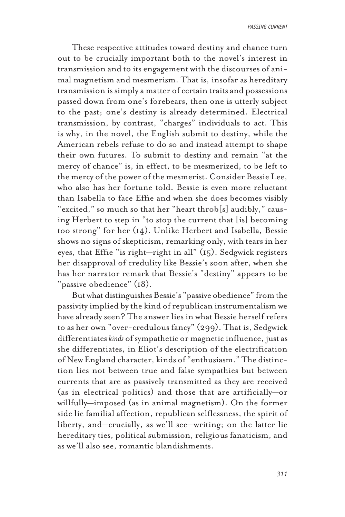These respective attitudes toward destiny and chance turn out to be crucially important both to the novel's interest in transmission and to its engagement with the discourses of animal magnetism and mesmerism. That is, insofar as hereditary transmission is simply a matter of certain traits and possessions passed down from one's forebears, then one is utterly subject to the past; one's destiny is already determined. Electrical transmission, by contrast, "charges" individuals to act. This is why, in the novel, the English submit to destiny, while the American rebels refuse to do so and instead attempt to shape their own futures. To submit to destiny and remain "at the mercy of chance" is, in effect, to be mesmerized, to be left to the mercy of the power of the mesmerist. Consider Bessie Lee, who also has her fortune told. Bessie is even more reluctant than Isabella to face Effie and when she does becomes visibly "excited," so much so that her "heart throb[s] audibly," causing Herbert to step in "to stop the current that [is] becoming too strong" for her (14). Unlike Herbert and Isabella, Bessie shows no signs of skepticism, remarking only, with tears in her eyes, that Effie "is right—right in all" (15). Sedgwick registers her disapproval of credulity like Bessie's soon after, when she has her narrator remark that Bessie's "destiny" appears to be "passive obedience" (18).

But what distinguishes Bessie's "passive obedience" from the passivity implied by the kind of republican instrumentalism we have already seen? The answer lies in what Bessie herself refers to as her own "over-credulous fancy" (299). That is, Sedgwick differentiates *kinds* of sympathetic or magnetic influence, just as she differentiates, in Eliot's description of the electrification of New England character, kinds of "enthusiasm." The distinction lies not between true and false sympathies but between currents that are as passively transmitted as they are received (as in electrical politics) and those that are artificially—or willfully—imposed (as in animal magnetism). On the former side lie familial affection, republican selflessness, the spirit of liberty, and—crucially, as we'll see—writing; on the latter lie hereditary ties, political submission, religious fanaticism, and as we'll also see, romantic blandishments.

*311*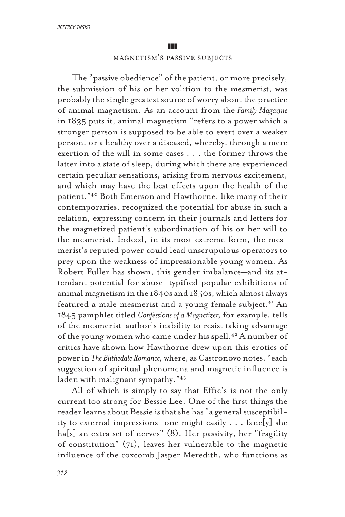# magnetism's passive subjects

The "passive obedience" of the patient, or more precisely, the submission of his or her volition to the mesmerist, was probably the single greatest source of worry about the practice of animal magnetism. As an account from the *Family Magazine* in 1835 puts it, animal magnetism "refers to a power which a stronger person is supposed to be able to exert over a weaker person, or a healthy over a diseased, whereby, through a mere exertion of the will in some cases . . . the former throws the latter into a state of sleep, during which there are experienced certain peculiar sensations, arising from nervous excitement, and which may have the best effects upon the health of the patient."40 Both Emerson and Hawthorne, like many of their contemporaries, recognized the potential for abuse in such a relation, expressing concern in their journals and letters for the magnetized patient's subordination of his or her will to the mesmerist. Indeed, in its most extreme form, the mesmerist's reputed power could lead unscrupulous operators to prey upon the weakness of impressionable young women. As Robert Fuller has shown, this gender imbalance—and its attendant potential for abuse—typified popular exhibitions of animal magnetism in the 1840s and 1850s, which almost always featured a male mesmerist and a young female subject.<sup>41</sup> An 1845 pamphlet titled *Confessions of a Magnetizer,* for example, tells of the mesmerist-author's inability to resist taking advantage of the young women who came under his spell.<sup>42</sup> A number of critics have shown how Hawthorne drew upon this erotics of power in *The Blithedale Romance,* where, as Castronovo notes, "each suggestion of spiritual phenomena and magnetic influence is laden with malignant sympathy."43

All of which is simply to say that Effie's is not the only current too strong for Bessie Lee. One of the first things the reader learns about Bessie is that she has "a general susceptibility to external impressions—one might easily . . . fanc[y] she ha[s] an extra set of nerves" (8). Her passivity, her "fragility of constitution" (71), leaves her vulnerable to the magnetic influence of the coxcomb Jasper Meredith, who functions as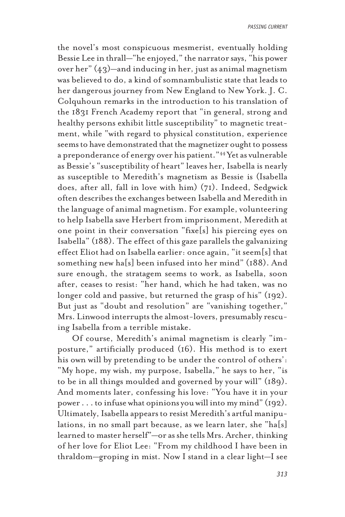the novel's most conspicuous mesmerist, eventually holding Bessie Lee in thrall—"he enjoyed," the narrator says, "his power over her" (43)—and inducing in her, just as animal magnetism was believed to do, a kind of somnambulistic state that leads to her dangerous journey from New England to New York. J. C. Colquhoun remarks in the introduction to his translation of the 1831 French Academy report that "in general, strong and healthy persons exhibit little susceptibility" to magnetic treatment, while "with regard to physical constitution, experience seems to have demonstrated that the magnetizer ought to possess a preponderance of energy over his patient."<sup>44</sup> Yet as vulnerable as Bessie's "susceptibility of heart" leaves her, Isabella is nearly as susceptible to Meredith's magnetism as Bessie is (Isabella does, after all, fall in love with him) (71). Indeed, Sedgwick often describes the exchanges between Isabella and Meredith in the language of animal magnetism. For example, volunteering to help Isabella save Herbert from imprisonment, Meredith at one point in their conversation "fixe[s] his piercing eyes on Isabella" (188). The effect of this gaze parallels the galvanizing effect Eliot had on Isabella earlier: once again, "it seem[s] that something new ha[s] been infused into her mind" (188). And sure enough, the stratagem seems to work, as Isabella, soon after, ceases to resist: "her hand, which he had taken, was no longer cold and passive, but returned the grasp of his" (192). But just as "doubt and resolution" are "vanishing together," Mrs. Linwood interrupts the almost-lovers, presumably rescuing Isabella from a terrible mistake.

Of course, Meredith's animal magnetism is clearly "imposture," artificially produced (16). His method is to exert his own will by pretending to be under the control of others': "My hope, my wish, my purpose, Isabella," he says to her, "is to be in all things moulded and governed by your will" (189). And moments later, confessing his love: "You have it in your power . . . to infuse what opinions you will into my mind" (192). Ultimately, Isabella appears to resist Meredith's artful manipulations, in no small part because, as we learn later, she "ha[s] learned to master herself"—or as she tells Mrs. Archer, thinking of her love for Eliot Lee: "From my childhood I have been in thraldom—groping in mist. Now I stand in a clear light—I see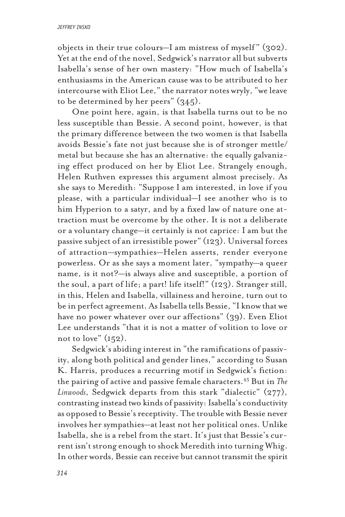### *jeffrey insko*

objects in their true colours—I am mistress of myself " (302). Yet at the end of the novel, Sedgwick's narrator all but subverts Isabella's sense of her own mastery: "How much of Isabella's enthusiasms in the American cause was to be attributed to her intercourse with Eliot Lee," the narrator notes wryly, "we leave to be determined by her peers" (345).

One point here, again, is that Isabella turns out to be no less susceptible than Bessie. A second point, however, is that the primary difference between the two women is that Isabella avoids Bessie's fate not just because she is of stronger mettle/ metal but because she has an alternative: the equally galvanizing effect produced on her by Eliot Lee. Strangely enough, Helen Ruthven expresses this argument almost precisely. As she says to Meredith: "Suppose I am interested, in love if you please, with a particular individual—I see another who is to him Hyperion to a satyr, and by a fixed law of nature one attraction must be overcome by the other. It is not a deliberate or a voluntary change—it certainly is not caprice: I am but the passive subject of an irresistible power" (123). Universal forces of attraction—sympathies—Helen asserts, render everyone powerless. Or as she says a moment later, "sympathy—a queer name, is it not?—is always alive and susceptible, a portion of the soul, a part of life; a part! life itself!" (123). Stranger still, in this, Helen and Isabella, villainess and heroine, turn out to be in perfect agreement. As Isabella tells Bessie, "I know that we have no power whatever over our affections" (39). Even Eliot Lee understands "that it is not a matter of volition to love or not to love"  $(152)$ .

Sedgwick's abiding interest in "the ramifications of passivity, along both political and gender lines," according to Susan K. Harris, produces a recurring motif in Sedgwick's fiction: the pairing of active and passive female characters.45 But in *The Linwoods*, Sedgwick departs from this stark "dialectic" (277), contrasting instead two kinds of passivity: Isabella's conductivity as opposed to Bessie's receptivity. The trouble with Bessie never involves her sympathies—at least not her political ones. Unlike Isabella, she is a rebel from the start. It's just that Bessie's current isn't strong enough to shock Meredith into turning Whig. In other words, Bessie can receive but cannot transmit the spirit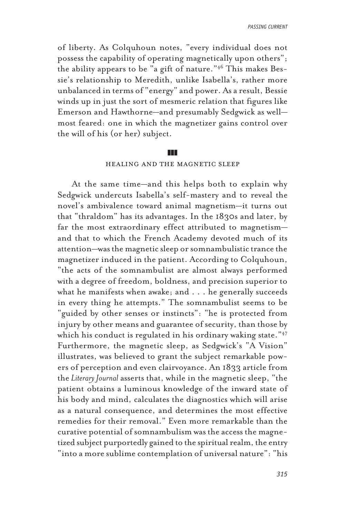of liberty. As Colquhoun notes, "every individual does not possess the capability of operating magnetically upon others"; the ability appears to be "a gift of nature."46 This makes Bessie's relationship to Meredith, unlike Isabella's, rather more unbalanced in terms of "energy" and power. As a result, Bessie winds up in just the sort of mesmeric relation that figures like Emerson and Hawthorne—and presumably Sedgwick as well most feared: one in which the magnetizer gains control over the will of his (or her) subject.

#### zzz

## healing and the magnetic sleep

At the same time—and this helps both to explain why Sedgwick undercuts Isabella's self-mastery and to reveal the novel's ambivalence toward animal magnetism—it turns out that "thraldom" has its advantages. In the 1830s and later, by far the most extraordinary effect attributed to magnetism and that to which the French Academy devoted much of its attention—was the magnetic sleep or somnambulistic trance the magnetizer induced in the patient. According to Colquhoun, "the acts of the somnambulist are almost always performed with a degree of freedom, boldness, and precision superior to what he manifests when awake; and . . . he generally succeeds in every thing he attempts." The somnambulist seems to be "guided by other senses or instincts": "he is protected from injury by other means and guarantee of security, than those by which his conduct is regulated in his ordinary waking state."<sup>47</sup> Furthermore, the magnetic sleep, as Sedgwick's "A Vision" illustrates, was believed to grant the subject remarkable powers of perception and even clairvoyance. An 1833 article from the *Literary Journal* asserts that, while in the magnetic sleep, "the patient obtains a luminous knowledge of the inward state of his body and mind, calculates the diagnostics which will arise as a natural consequence, and determines the most effective remedies for their removal." Even more remarkable than the curative potential of somnambulism was the access the magnetized subject purportedly gained to the spiritual realm, the entry "into a more sublime contemplation of universal nature": "his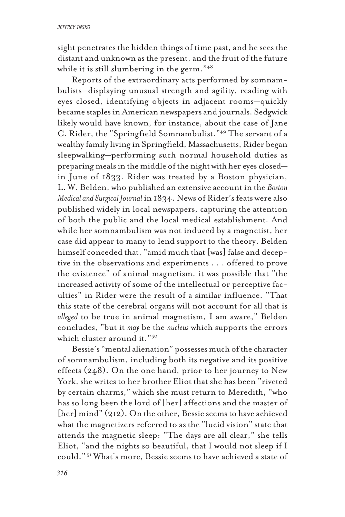sight penetrates the hidden things of time past, and he sees the distant and unknown as the present, and the fruit of the future while it is still slumbering in the germ."<sup>48</sup>

Reports of the extraordinary acts performed by somnambulists—displaying unusual strength and agility, reading with eyes closed, identifying objects in adjacent rooms—quickly became staples in American newspapers and journals. Sedgwick likely would have known, for instance, about the case of Jane C. Rider, the "Springfield Somnambulist."49 The servant of a wealthy family living in Springfield, Massachusetts, Rider began sleepwalking—performing such normal household duties as preparing meals in the middle of the night with her eyes closed in June of 1833. Rider was treated by a Boston physician, L. W. Belden, who published an extensive account in the *Boston Medical and Surgical Journal* in 1834. News of Rider's feats were also published widely in local newspapers, capturing the attention of both the public and the local medical establishment. And while her somnambulism was not induced by a magnetist, her case did appear to many to lend support to the theory. Belden himself conceded that, "amid much that [was] false and deceptive in the observations and experiments . . . offered to prove the existence" of animal magnetism, it was possible that "the increased activity of some of the intellectual or perceptive faculties" in Rider were the result of a similar influence. "That this state of the cerebral organs will not account for all that is *alleged* to be true in animal magnetism, I am aware," Belden concludes, "but it *may* be the *nucleus* which supports the errors which cluster around it."50

Bessie's "mental alienation" possesses much of the character of somnambulism, including both its negative and its positive effects (248). On the one hand, prior to her journey to New York, she writes to her brother Eliot that she has been "riveted by certain charms," which she must return to Meredith, "who has so long been the lord of [her] affections and the master of [her] mind" (212). On the other, Bessie seems to have achieved what the magnetizers referred to as the "lucid vision" state that attends the magnetic sleep: "The days are all clear," she tells Eliot, "and the nights so beautiful, that I would not sleep if I could." 51 What's more, Bessie seems to have achieved a state of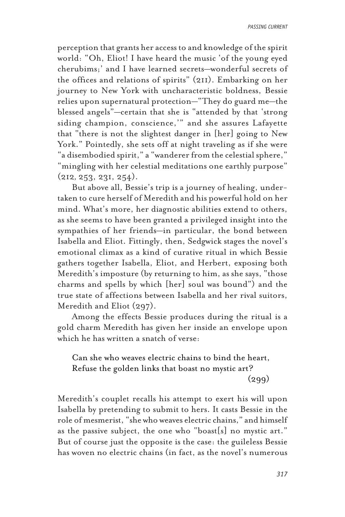perception that grants her access to and knowledge of the spirit world: "Oh, Eliot! I have heard the music 'of the young eyed cherubims;' and I have learned secrets—wonderful secrets of the offices and relations of spirits" (211). Embarking on her journey to New York with uncharacteristic boldness, Bessie relies upon supernatural protection—"They do guard me—the blessed angels"—certain that she is "attended by that 'strong siding champion, conscience,'" and she assures Lafayette that "there is not the slightest danger in [her] going to New York." Pointedly, she sets off at night traveling as if she were "a disembodied spirit," a "wanderer from the celestial sphere," "mingling with her celestial meditations one earthly purpose" (212*,* 253, 231, 254).

But above all, Bessie's trip is a journey of healing, undertaken to cure herself of Meredith and his powerful hold on her mind. What's more, her diagnostic abilities extend to others, as she seems to have been granted a privileged insight into the sympathies of her friends—in particular, the bond between Isabella and Eliot. Fittingly, then, Sedgwick stages the novel's emotional climax as a kind of curative ritual in which Bessie gathers together Isabella, Eliot, and Herbert, exposing both Meredith's imposture (by returning to him, as she says, "those charms and spells by which [her] soul was bound") and the true state of affections between Isabella and her rival suitors, Meredith and Eliot (297).

Among the effects Bessie produces during the ritual is a gold charm Meredith has given her inside an envelope upon which he has written a snatch of verse:

Can she who weaves electric chains to bind the heart, Refuse the golden links that boast no mystic art?  $(299)$ 

Meredith's couplet recalls his attempt to exert his will upon Isabella by pretending to submit to hers. It casts Bessie in the role of mesmerist, "she who weaves electric chains," and himself as the passive subject, the one who "boast[s] no mystic art." But of course just the opposite is the case: the guileless Bessie has woven no electric chains (in fact, as the novel's numerous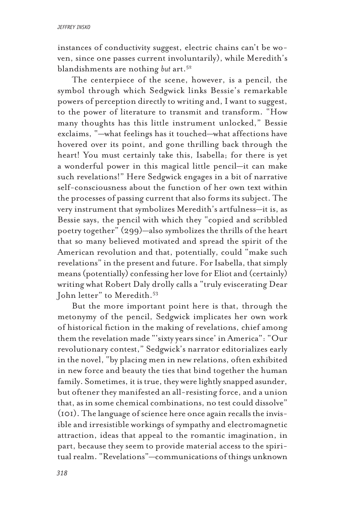instances of conductivity suggest, electric chains can't be woven, since one passes current involuntarily), while Meredith's blandishments are nothing *but* art.52

The centerpiece of the scene, however, is a pencil, the symbol through which Sedgwick links Bessie's remarkable powers of perception directly to writing and, I want to suggest, to the power of literature to transmit and transform. "How many thoughts has this little instrument unlocked," Bessie exclaims, "—what feelings has it touched—what affections have hovered over its point, and gone thrilling back through the heart! You must certainly take this, Isabella; for there is yet a wonderful power in this magical little pencil—it can make such revelations!" Here Sedgwick engages in a bit of narrative self-consciousness about the function of her own text within the processes of passing current that also forms its subject. The very instrument that symbolizes Meredith's artfulness—it is, as Bessie says, the pencil with which they "copied and scribbled poetry together" (299)—also symbolizes the thrills of the heart that so many believed motivated and spread the spirit of the American revolution and that, potentially, could "make such revelations" in the present and future. For Isabella, that simply means (potentially) confessing her love for Eliot and (certainly) writing what Robert Daly drolly calls a "truly eviscerating Dear John letter" to Meredith.<sup>53</sup>

But the more important point here is that, through the metonymy of the pencil, Sedgwick implicates her own work of historical fiction in the making of revelations, chief among them the revelation made "'sixty years since' in America": "Our revolutionary contest," Sedgwick's narrator editorializes early in the novel, "by placing men in new relations, often exhibited in new force and beauty the ties that bind together the human family. Sometimes, it is true, they were lightly snapped asunder, but oftener they manifested an all-resisting force, and a union that, as in some chemical combinations, no test could dissolve" (101). The language of science here once again recalls the invisible and irresistible workings of sympathy and electromagnetic attraction, ideas that appeal to the romantic imagination, in part, because they seem to provide material access to the spiritual realm. "Revelations"—communications of things unknown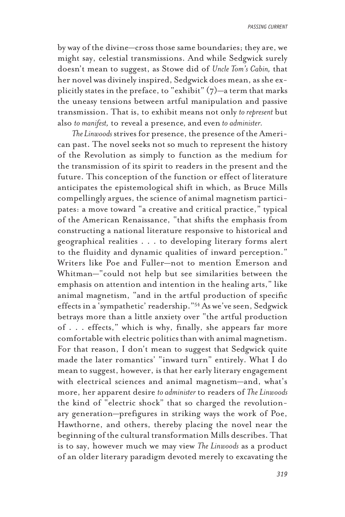by way of the divine—cross those same boundaries; they are, we might say, celestial transmissions. And while Sedgwick surely doesn't mean to suggest, as Stowe did of *Uncle Tom's Cabin,* that her novel was divinely inspired, Sedgwick does mean, as she explicitly states in the preface, to "exhibit"  $(7)$ —a term that marks the uneasy tensions between artful manipulation and passive transmission. That is, to exhibit means not only *to represent* but also *to manifest,* to reveal a presence*,* and even *to administer.*

*The Linwoods* strives for presence, the presence of the American past. The novel seeks not so much to represent the history of the Revolution as simply to function as the medium for the transmission of its spirit to readers in the present and the future. This conception of the function or effect of literature anticipates the epistemological shift in which, as Bruce Mills compellingly argues, the science of animal magnetism participates: a move toward "a creative and critical practice," typical of the American Renaissance, "that shifts the emphasis from constructing a national literature responsive to historical and geographical realities . . . to developing literary forms alert to the fluidity and dynamic qualities of inward perception." Writers like Poe and Fuller—not to mention Emerson and Whitman—"could not help but see similarities between the emphasis on attention and intention in the healing arts," like animal magnetism, "and in the artful production of specific effects in a 'sympathetic' readership."54 As we've seen, Sedgwick betrays more than a little anxiety over "the artful production of . . . effects," which is why, finally, she appears far more comfortable with electric politics than with animal magnetism. For that reason, I don't mean to suggest that Sedgwick quite made the later romantics' "inward turn" entirely. What I do mean to suggest, however, is that her early literary engagement with electrical sciences and animal magnetism—and, what's more, her apparent desire *to administer* to readers of *The Linwoods* the kind of "electric shock" that so charged the revolutionary generation—prefigures in striking ways the work of Poe, Hawthorne, and others, thereby placing the novel near the beginning of the cultural transformation Mills describes. That is to say, however much we may view *The Linwoods* as a product of an older literary paradigm devoted merely to excavating the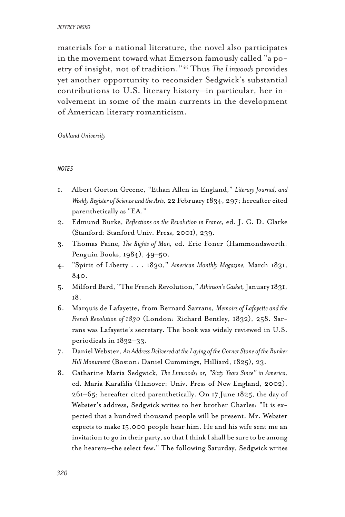### *jeffrey insko*

materials for a national literature, the novel also participates in the movement toward what Emerson famously called "a poetry of insight, not of tradition."55 Thus *The Linwoods* provides yet another opportunity to reconsider Sedgwick's substantial contributions to U.S. literary history—in particular, her involvement in some of the main currents in the development of American literary romanticism.

*Oakland University*

### *notes*

- 1. Albert Gorton Greene, "Ethan Allen in England," *Literary Journal, and Weekly Register of Science and the Arts,* 22 February 1834, 297; hereafter cited parenthetically as "EA."
- 2. Edmund Burke, *Reflections on the Revolution in France,* ed. J. C. D. Clarke (Stanford: Stanford Univ. Press, 2001), 239.
- 3. Thomas Paine*, The Rights of Man,* ed. Eric Foner (Hammondsworth: Penguin Books, 1984), 49–50.
- 4. "Spirit of Liberty . . . 1830," *American Monthly Magazine,* March 1831, 840.
- 5. Milford Bard, "The French Revolution," *Atkinson's Casket,* January 1831, 18.
- 6. Marquis de Lafayette, from Bernard Sarrans, *Memoirs of Lafayette and the French Revolution of 1830* (London: Richard Bentley, 1832), 258. Sarrans was Lafayette's secretary. The book was widely reviewed in U.S. periodicals in 1832–33.
- 7. Daniel Webster, *An Address Delivered at the Laying of the Corner Stone of the Bunker Hill Monument* (Boston: Daniel Cummings, Hilliard, 1825), 23.
- 8. Catharine Maria Sedgwick, *The Linwoods; or, "Sixty Years Since" in America,* ed. Maria Karafilis (Hanover: Univ. Press of New England, 2002), 261–65; hereafter cited parenthetically. On 17 June 1825, the day of Webster's address, Sedgwick writes to her brother Charles: "It is expected that a hundred thousand people will be present. Mr. Webster expects to make 15,000 people hear him. He and his wife sent me an invitation to go in their party, so that I think I shall be sure to be among the hearers—the select few." The following Saturday, Sedgwick writes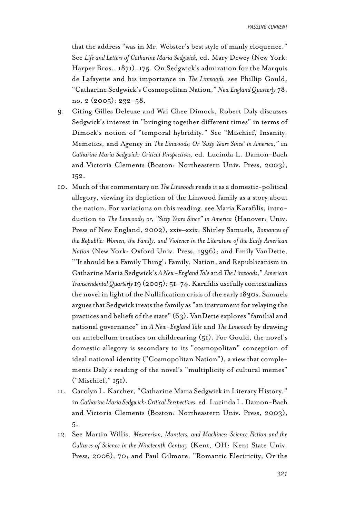that the address "was in Mr. Webster's best style of manly eloquence." See *Life and Letters of Catharine Maria Sedgwick,* ed. Mary Dewey (New York: Harper Bros., 1871), 175. On Sedgwick's admiration for the Marquis de Lafayette and his importance in *The Linwoods,* see Phillip Gould, "Catharine Sedgwick's Cosmopolitan Nation," *New England Quarterly* 78, no. 2 (2005): 232–58.

- 9. Citing Gilles Deleuze and Wai Chee Dimock, Robert Daly discusses Sedgwick's interest in "bringing together different times" in terms of Dimock's notion of "temporal hybridity." See "Mischief, Insanity, Memetics, and Agency in *The Linwoods; Or 'Sixty Years Since' in America,"* in *Catharine Maria Sedgwick: Critical Perspectives,* ed. Lucinda L. Damon-Bach and Victoria Clements (Boston: Northeastern Univ. Press, 2003), 152.
- 10. Much of the commentary on *The Linwoods* reads it as a domestic-political allegory, viewing its depiction of the Linwood family as a story about the nation. For variations on this reading, see Maria Karafilis, introduction to *The Linwoods; or, "Sixty Years Since" in America* (Hanover: Univ. Press of New England, 2002), xxiv–xxix; Shirley Samuels, *Romances of the Republic: Women, the Family, and Violence in the Literature of the Early American Nation* (New York: Oxford Univ. Press, 1996); and Emily VanDette, "'It should be a Family Thing': Family, Nation, and Republicanism in Catharine Maria Sedgwick's *A New-England Tale* and *The Linwoods*," *American Transcendental Quarterly* 19 (2005): 51–74. Karafilis usefully contextualizes the novel in light of the Nullification crisis of the early 1830s. Samuels argues that Sedgwick treats the family as "an instrument for relaying the practices and beliefs of the state" (63). VanDette explores "familial and national governance" in *A New-England Tale* and *The Linwoods* by drawing on antebellum treatises on childrearing (51). For Gould, the novel's domestic allegory is secondary to its "cosmopolitan" conception of ideal national identity ("Cosmopolitan Nation"), a view that complements Daly's reading of the novel's "multiplicity of cultural memes" ("Mischief," 151).
- 11. Carolyn L. Karcher, "Catharine Maria Sedgwick in Literary History," in *Catharine Maria Sedgwick: Critical Perspectives.* ed. Lucinda L. Damon-Bach and Victoria Clements (Boston: Northeastern Univ. Press, 2003), 5.
- 12. See Martin Willis, *Mesmerism, Monsters, and Machines: Science Fiction and the Cultures of Science in the Nineteenth Century* (Kent, OH: Kent State Univ. Press, 2006), 70; and Paul Gilmore, "Romantic Electricity, Or the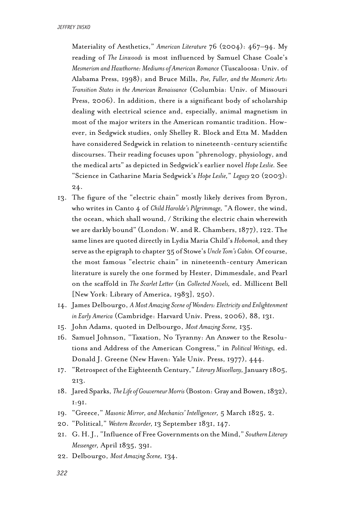Materiality of Aesthetics," *American Literature* 76 (2004): 467–94. My reading of *The Linwoods* is most influenced by Samuel Chase Coale's *Mesmerism and Hawthorne: Mediums of American Romance* (Tuscaloosa: Univ. of Alabama Press, 1998); and Bruce Mills, *Poe, Fuller, and the Mesmeric Arts: Transition States in the American Renaissance* (Columbia: Univ. of Missouri Press, 2006). In addition, there is a significant body of scholarship dealing with electrical science and, especially, animal magnetism in most of the major writers in the American romantic tradition. However, in Sedgwick studies, only Shelley R. Block and Etta M. Madden have considered Sedgwick in relation to nineteenth-century scientific discourses. Their reading focuses upon "phrenology, physiology, and the medical arts" as depicted in Sedgwick's earlier novel *Hope Leslie.* See "Science in Catharine Maria Sedgwick's *Hope Leslie,*" *Legacy* 20 (2003): 24.

- 13. The figure of the "electric chain" mostly likely derives from Byron, who writes in Canto 4 of *Child Harolde's Pilgrimmage,* "A flower, the wind, the ocean, which shall wound, / Striking the electric chain wherewith we are darkly bound" (London: W. and R. Chambers, 1877), 122. The same lines are quoted directly in Lydia Maria Child's *Hobomok,* and they serve as the epigraph to chapter 35 of Stowe's *Uncle Tom's Cabin.* Of course, the most famous "electric chain" in nineteenth-century American literature is surely the one formed by Hester, Dimmesdale, and Pearl on the scaffold in *The Scarlet Letter* (in *Collected Novels,* ed. Millicent Bell [New York: Library of America, 1983], 250).
- 14. James Delbourgo, *A Most Amazing Scene of Wonders: Electricity and Enlightenment in Early America* (Cambridge: Harvard Univ. Press, 2006), 88, 131.
- 15. John Adams, quoted in Delbourgo, *Most Amazing Scene,* 135.
- 16. Samuel Johnson, "Taxation, No Tyranny: An Answer to the Resolutions and Address of the American Congress," in *Political Writings,* ed. Donald J. Greene (New Haven: Yale Univ. Press, 1977), 444.
- 17. "Retrospect of the Eighteenth Century," *Literary Miscellany,* January 1805, 213.
- 18. Jared Sparks, *The Life of Gouverneur Morris* (Boston: Gray and Bowen, 1832), 1:91.
- 19. "Greece," *Masonic Mirror, and Mechanics' Intelligencer,* 5 March 1825, 2.
- 20. "Political," *Western Recorder,* 13 September 1831, 147.
- 21. G. H. J., "Influence of Free Governments on the Mind," *Southern Literary Messenger,* April 1835, 391.
- 22. Delbourgo, *Most Amazing Scene,* 134.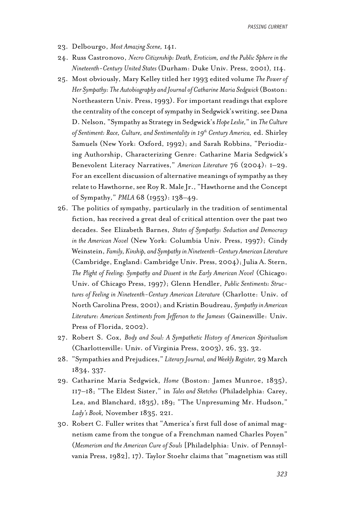- 23. Delbourgo, *Most Amazing Scene,* 141.
- 24. Russ Castronovo, *Necro Citizenship: Death, Eroticism, and the Public Sphere in the Nineteenth-Century United States* (Durham: Duke Univ. Press, 2001)*,* 114.
- 25. Most obviously, Mary Kelley titled her 1993 edited volume *The Power of Her Sympathy: The Autobiography and Journal of Catharine Maria Sedgwick* (Boston: Northeastern Univ. Press, 1993). For important readings that explore the centrality of the concept of sympathy in Sedgwick's writing, see Dana D. Nelson, "Sympathy as Strategy in Sedgwick's *Hope Leslie,*" in *The Culture of Sentiment: Race, Culture, and Sentimentality in 19th Century America,* ed. Shirley Samuels (New York: Oxford, 1992); and Sarah Robbins, "Periodizing Authorship, Characterizing Genre: Catharine Maria Sedgwick's Benevolent Literacy Narratives," *American Literature* 76 (2004): 1–29. For an excellent discussion of alternative meanings of sympathy as they relate to Hawthorne, see Roy R. Male Jr., "Hawthorne and the Concept of Sympathy," *PMLA* 68 (1953): 138–49.
- 26. The politics of sympathy, particularly in the tradition of sentimental fiction, has received a great deal of critical attention over the past two decades. See Elizabeth Barnes, *States of Sympathy: Seduction and Democracy in the American Novel* (New York: Columbia Univ. Press, 1997); Cindy Weinstein, *Family, Kinship, and Sympathy in Nineteenth-Century American Literature* (Cambridge, England: Cambridge Univ. Press, 2004); Julia A. Stern, *The Plight of Feeling: Sympathy and Dissent in the Early American Novel* (Chicago: Univ. of Chicago Press, 1997); Glenn Hendler, *Public Sentiments: Structures of Feeling in Nineteenth-Century American Literature* (Charlotte: Univ. of North Carolina Press, 2001); and Kristin Boudreau, *Sympathy in American Literature: American Sentiments from Jefferson to the Jameses* (Gainesville: Univ. Press of Florida, 2002).
- 27. Robert S. Cox, *Body and Soul: A Sympathetic History of American Spiritualism* (Charlottesville: Univ. of Virginia Press, 2003), 26, 33, 32.
- 28. "Sympathies and Prejudices," *Literary Journal, and Weekly Register,* 29 March 1834, 337.
- 29. Catharine Maria Sedgwick, *Home* (Boston: James Munroe, 1835), 117–18; "The Eldest Sister," in *Tales and Sketches* (Philadelphia: Carey, Lea, and Blanchard, 1835), 189; "The Unpresuming Mr. Hudson," *Lady's Book,* November 1835, 221.
- 30. Robert C. Fuller writes that "America's first full dose of animal magnetism came from the tongue of a Frenchman named Charles Poyen" (*Mesmerism and the American Cure of Souls* [Philadelphia: Univ. of Pennsylvania Press, 1982], 17). Taylor Stoehr claims that "magnetism was still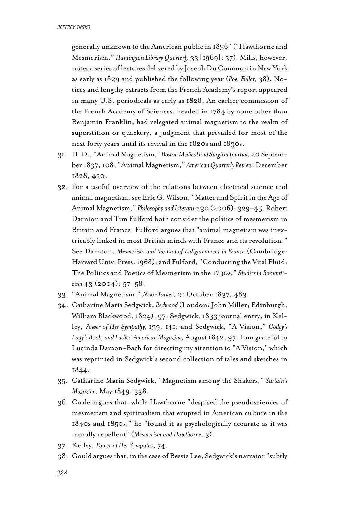generally unknown to the American public in 1836" ("Hawthorne and Mesmerism," *Huntington Library Quarterly* 33 [1969]: 37). Mills, however, notes a series of lectures delivered by Joseph Du Commun in New York as early as 1829 and published the following year (*Poe, Fuller,* 38). Notices and lengthy extracts from the French Academy's report appeared in many U.S. periodicals as early as 1828. An earlier commission of the French Academy of Sciences, headed in 1784 by none other than Benjamin Franklin, had relegated animal magnetism to the realm of superstition or quackery, a judgment that prevailed for most of the next forty years until its revival in the 1820s and 1830s.

- 31. H. D., "Animal Magnetism," *Boston Medical and Surgical Journal,* 20 September 1837, 108; "Animal Magnetism," *American Quarterly Review,* December 1828, 430.
- 32. For a useful overview of the relations between electrical science and animal magnetism, see Eric G. Wilson, "Matter and Spirit in the Age of Animal Magnetism," *Philosophy and Literature* 30 (2006): 329–45. Robert Darnton and Tim Fulford both consider the politics of mesmerism in Britain and France; Fulford argues that "animal magnetism was inextricably linked in most British minds with France and its revolution." See Darnton, *Mesmerism and the End of Enlightenment in France* (Cambridge: Harvard Univ. Press, 1968); and Fulford, "Conducting the Vital Fluid: The Politics and Poetics of Mesmerism in the 1790s," *Studies in Romanticism* 43 (2004): 57–58.
- 33. "Animal Magnetism," *New-Yorker,* 21 October 1837, 483.
- 34. Catharine Maria Sedgwick, *Redwood* (London: John Miller; Edinburgh, William Blackwood, 1824), 97; Sedgwick, 1833 journal entry, in Kelley, *Power of Her Sympathy,* 139, 141; and Sedgwick, "A Vision," *Godey's Lady's Book, and Ladies' American Magazine,* August 1842, 97. I am grateful to Lucinda Damon-Bach for directing my attention to "A Vision," which was reprinted in Sedgwick's second collection of tales and sketches in 1844.
- 35. Catharine Maria Sedgwick, "Magnetism among the Shakers," *Sartain's Magazine,* May 1849, 338.
- 36. Coale argues that, while Hawthorne "despised the pseudosciences of mesmerism and spiritualism that erupted in American culture in the 1840s and 1850s," he "found it as psychologically accurate as it was morally repellent" (*Mesmerism and Hawthorne,* 3).
- 37. Kelley, *Power of Her Sympathy,* 74.
- 38. Gould argues that, in the case of Bessie Lee, Sedgwick's narrator "subtly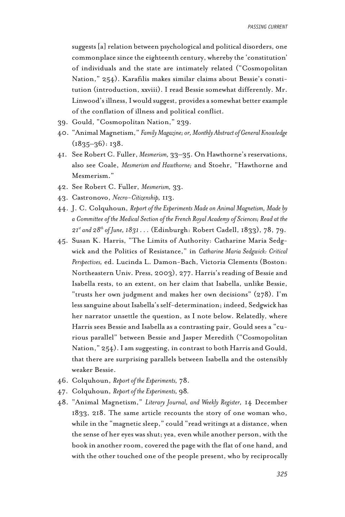suggests [a] relation between psychological and political disorders, one commonplace since the eighteenth century, whereby the 'constitution' of individuals and the state are intimately related ("Cosmopolitan Nation," 254). Karafilis makes similar claims about Bessie's constitution (introduction, xxviii). I read Bessie somewhat differently. Mr. Linwood's illness, I would suggest, provides a somewhat better example of the conflation of illness and political conflict.

- 39. Gould, "Cosmopolitan Nation," 239.
- 40. "Animal Magnetism," *Family Magazine; or, Monthly Abstract of General Knowledge* (1835–36): 138.
- 41. See Robert C. Fuller, *Mesmerism,* 33–35. On Hawthorne's reservations, also see Coale, *Mesmerism and Hawthorne;* and Stoehr, "Hawthorne and Mesmerism."
- 42. See Robert C. Fuller, *Mesmerism,* 33.
- 43. Castronovo, *Necro-Citizenship,* 113.
- 44. J. C. Colquhoun, *Report of the Experiments Made on Animal Magnetism, Made by a Committee of the Medical Section of the French Royal Academy of Sciences; Read at the 21st and 28th of June, 1831 . . .* (Edinburgh: Robert Cadell, 1833), 78, 79.
- 45. Susan K. Harris, "The Limits of Authority: Catharine Maria Sedgwick and the Politics of Resistance," in *Catharine Maria Sedgwick: Critical Perspectives,* ed. Lucinda L. Damon-Bach, Victoria Clements (Boston: Northeastern Univ. Press, 2003), 277. Harris's reading of Bessie and Isabella rests, to an extent, on her claim that Isabella, unlike Bessie, "trusts her own judgment and makes her own decisions" (278). I'm less sanguine about Isabella's self-determination; indeed, Sedgwick has her narrator unsettle the question, as I note below. Relatedly, where Harris sees Bessie and Isabella as a contrasting pair, Gould sees a "curious parallel" between Bessie and Jasper Meredith ("Cosmopolitan Nation," 254). I am suggesting, in contrast to both Harris and Gould, that there are surprising parallels between Isabella and the ostensibly weaker Bessie.
- 46. Colquhoun, *Report of the Experiments,* 78.
- 47. Colquhoun, *Report of the Experiments,* 98*.*
- 48. "Animal Magnetism," *Literary Journal, and Weekly Register,* 14 December 1833, 218. The same article recounts the story of one woman who, while in the "magnetic sleep," could "read writings at a distance, when the sense of her eyes was shut; yea, even while another person, with the book in another room, covered the page with the flat of one hand, and with the other touched one of the people present, who by reciprocally